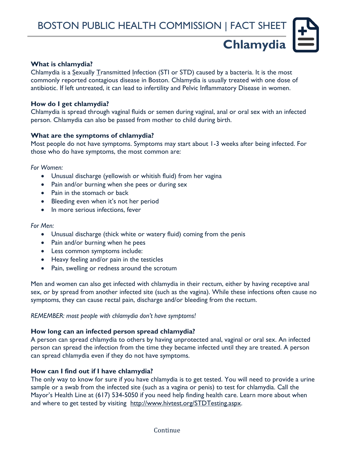## **What is chlamydia?**

Chlamydia is a Sexually Transmitted Infection (STI or STD) caused by a bacteria. It is the most commonly reported contagious disease in Boston. Chlamydia is usually treated with one dose of antibiotic. If left untreated, it can lead to infertility and Pelvic Inflammatory Disease in women.

### **How do I get chlamydia?**

Chlamydia is spread through vaginal fluids or semen during vaginal, anal or oral sex with an infected person. Chlamydia can also be passed from mother to child during birth.

### **What are the symptoms of chlamydia?**

Most people do not have symptoms. Symptoms may start about 1-3 weeks after being infected. For those who do have symptoms, the most common are:

*For Women:*

- Unusual discharge (yellowish or whitish fluid) from her vagina
- Pain and/or burning when she pees or during sex
- Pain in the stomach or back
- Bleeding even when it's not her period
- In more serious infections, fever

#### *For Men:*

- Unusual discharge (thick white or watery fluid) coming from the penis
- Pain and/or burning when he pees
- Less common symptoms include:
- Heavy feeling and/or pain in the testicles
- Pain, swelling or redness around the scrotum

Men and women can also get infected with chlamydia in their rectum, either by having receptive anal sex, or by spread from another infected site (such as the vagina). While these infections often cause no symptoms, they can cause rectal pain, discharge and/or bleeding from the rectum.

*REMEMBER: most people with chlamydia don't have symptoms!*

# **How long can an infected person spread chlamydia?**

A person can spread chlamydia to others by having unprotected anal, vaginal or oral sex. An infected person can spread the infection from the time they became infected until they are treated. A person can spread chlamydia even if they do not have symptoms.

# **How can I find out if I have chlamydia?**

The only way to know for sure if you have chlamydia is to get tested. You will need to provide a urine sample or a swab from the infected site (such as a vagina or penis) to test for chlamydia. Call the Mayor's Health Line at (617) 534-5050 if you need help finding health care. Learn more about when and where to get tested by visiting [http://www.hivtest.org/STDTesting.aspx.](http://www.hivtest.org/STDTesting.aspx)